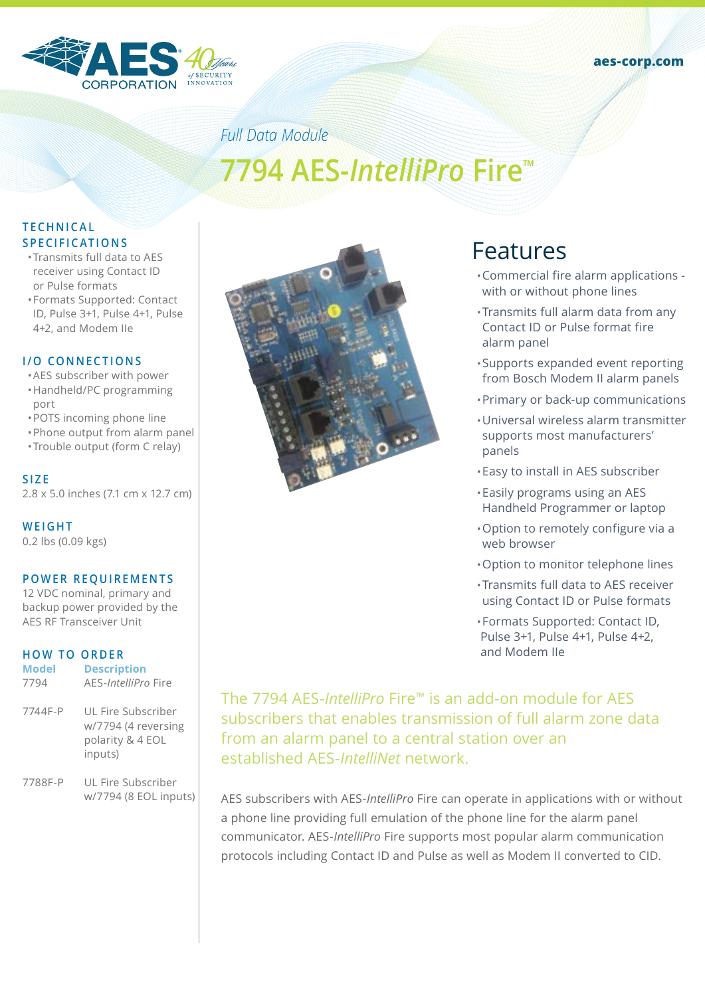



# *Full Data Module* **7794 AES-***IntelliPro* **Fire™**

#### **T E C H N I C A L S P E C I F I C AT I O N S**

- •Transmits full data to AES receiver using Contact ID or Pulse formats
- •Formats Supported: Contact ID, Pulse 3+1, Pulse 4+1, Pulse 4+2, and Modem IIe

#### **I/O CONNECTIONS**

- •AES subscriber with power
- •Handheld/PC programming port
- •POTS incoming phone line
- •Phone output from alarm panel
- •Trouble output (form C relay)

#### **SIZE**

2.8 x 5.0 inches (7.1 cm x 12.7 cm)

**WEIGHT** 0.2 lbs (0.09 kgs)

#### **POWER REQUIREMENTS**

12 VDC nominal, primary and backup power provided by the AES RF Transceiver Unit

#### **HOW TO ORDER**

| <b>Model</b> | <b>Description</b>                                                                                                                                                                                                                                                                                                                                                                   |
|--------------|--------------------------------------------------------------------------------------------------------------------------------------------------------------------------------------------------------------------------------------------------------------------------------------------------------------------------------------------------------------------------------------|
| 7794         | AES- <i>IntelliPro</i> Fire                                                                                                                                                                                                                                                                                                                                                          |
| 7744F-P      | UL Fire Subscriber                                                                                                                                                                                                                                                                                                                                                                   |
|              | $\overline{1}$ $\overline{1}$ $\overline{1}$ $\overline{1}$ $\overline{1}$ $\overline{1}$ $\overline{1}$ $\overline{1}$ $\overline{1}$ $\overline{1}$ $\overline{1}$ $\overline{1}$ $\overline{1}$ $\overline{1}$ $\overline{1}$ $\overline{1}$ $\overline{1}$ $\overline{1}$ $\overline{1}$ $\overline{1}$ $\overline{1}$ $\overline{1}$ $\overline{1}$ $\overline{1}$ $\overline{$ |

w/7794 (4 reversing polarity & 4 EOL inputs)

7788F-P UL Fire Subscriber w/7794 (8 EOL inputs)



## Features

- •Commercial fire alarm applications with or without phone lines
- •Transmits full alarm data from any Contact ID or Pulse format fire alarm panel
- •Supports expanded event reporting from Bosch Modem II alarm panels
- •Primary or back-up communications
- •Universal wireless alarm transmitter supports most manufacturers' panels
- •Easy to install in AES subscriber
- •Easily programs using an AES Handheld Programmer or laptop
- •Option to remotely configure via a web browser
- •Option to monitor telephone lines
- •Transmits full data to AES receiver using Contact ID or Pulse formats

•Formats Supported: Contact ID, Pulse 3+1, Pulse 4+1, Pulse 4+2, and Modem IIe

The 7794 AES-*IntelliPro* Fire™ is an add-on module for AES subscribers that enables transmission of full alarm zone data from an alarm panel to a central station over an established AES-*IntelliNet* network.

AES subscribers with AES-*IntelliPro* Fire can operate in applications with or without a phone line providing full emulation of the phone line for the alarm panel communicator. AES-*IntelliPro* Fire supports most popular alarm communication protocols including Contact ID and Pulse as well as Modem II converted to CID.